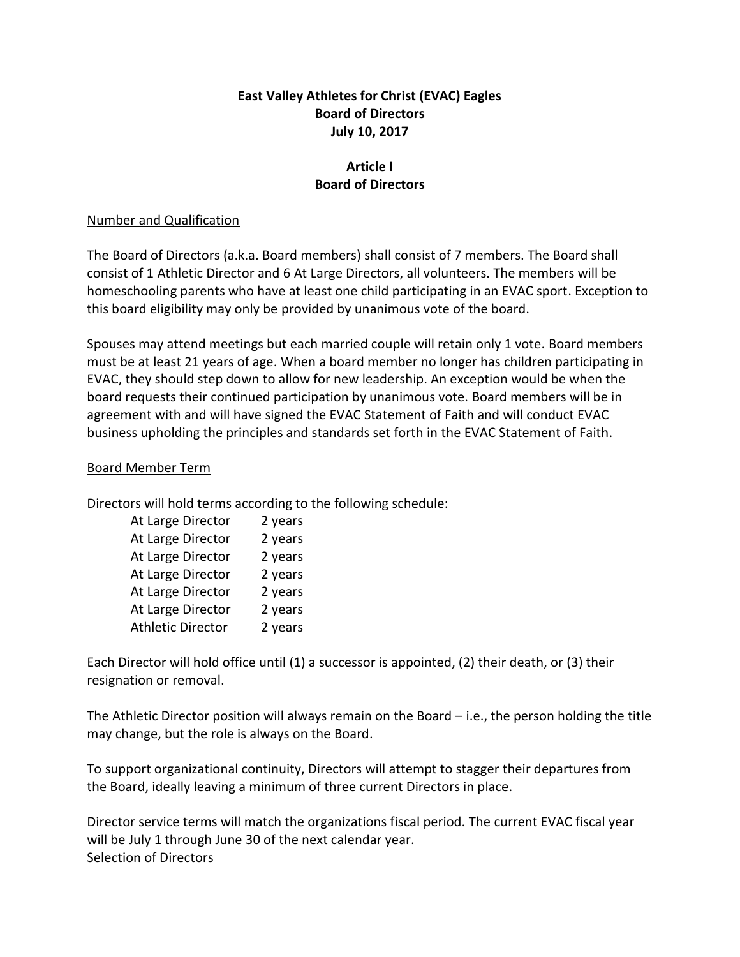### **East Valley Athletes for Christ (EVAC) Eagles Board of Directors July 10, 2017**

# **Article I Board of Directors**

#### Number and Qualification

The Board of Directors (a.k.a. Board members) shall consist of 7 members. The Board shall consist of 1 Athletic Director and 6 At Large Directors, all volunteers. The members will be homeschooling parents who have at least one child participating in an EVAC sport. Exception to this board eligibility may only be provided by unanimous vote of the board.

Spouses may attend meetings but each married couple will retain only 1 vote. Board members must be at least 21 years of age. When a board member no longer has children participating in EVAC, they should step down to allow for new leadership. An exception would be when the board requests their continued participation by unanimous vote. Board members will be in agreement with and will have signed the EVAC Statement of Faith and will conduct EVAC business upholding the principles and standards set forth in the EVAC Statement of Faith.

#### Board Member Term

Directors will hold terms according to the following schedule:

| At Large Director        | 2 years |
|--------------------------|---------|
| At Large Director        | 2 years |
| At Large Director        | 2 years |
| At Large Director        | 2 years |
| At Large Director        | 2 years |
| At Large Director        | 2 years |
| <b>Athletic Director</b> | 2 years |

Each Director will hold office until (1) a successor is appointed, (2) their death, or (3) their resignation or removal.

The Athletic Director position will always remain on the Board – i.e., the person holding the title may change, but the role is always on the Board.

To support organizational continuity, Directors will attempt to stagger their departures from the Board, ideally leaving a minimum of three current Directors in place.

Director service terms will match the organizations fiscal period. The current EVAC fiscal year will be July 1 through June 30 of the next calendar year. Selection of Directors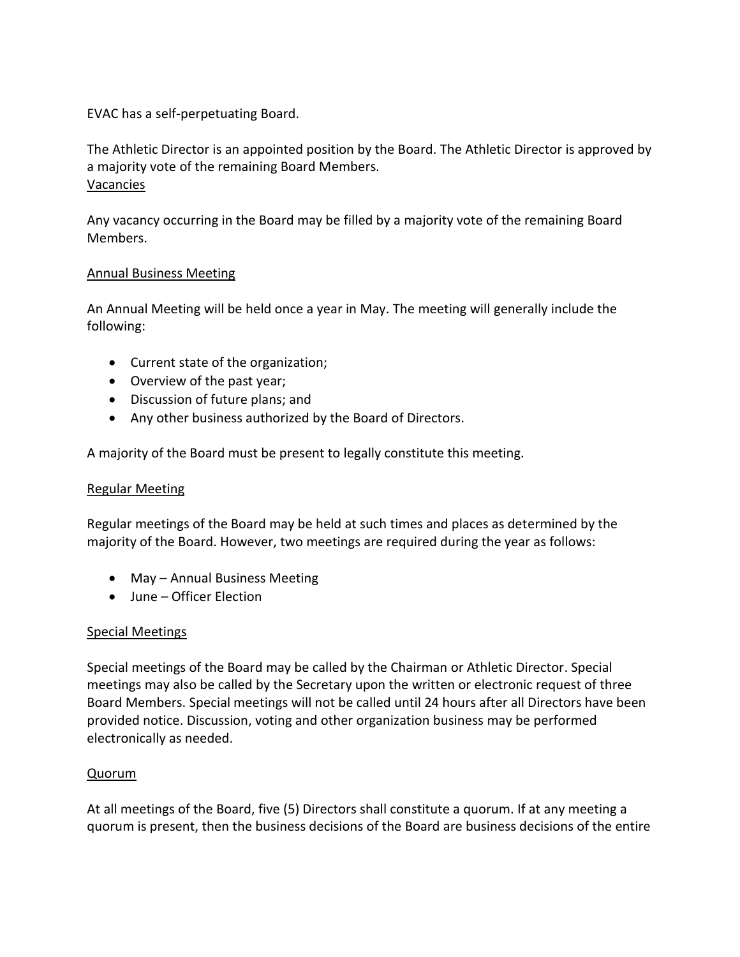EVAC has a self-perpetuating Board.

The Athletic Director is an appointed position by the Board. The Athletic Director is approved by a majority vote of the remaining Board Members. Vacancies

Any vacancy occurring in the Board may be filled by a majority vote of the remaining Board Members.

### Annual Business Meeting

An Annual Meeting will be held once a year in May. The meeting will generally include the following:

- Current state of the organization;
- Overview of the past year;
- Discussion of future plans; and
- Any other business authorized by the Board of Directors.

A majority of the Board must be present to legally constitute this meeting.

#### Regular Meeting

Regular meetings of the Board may be held at such times and places as determined by the majority of the Board. However, two meetings are required during the year as follows:

- May Annual Business Meeting
- June Officer Election

### Special Meetings

Special meetings of the Board may be called by the Chairman or Athletic Director. Special meetings may also be called by the Secretary upon the written or electronic request of three Board Members. Special meetings will not be called until 24 hours after all Directors have been provided notice. Discussion, voting and other organization business may be performed electronically as needed.

#### Quorum

At all meetings of the Board, five (5) Directors shall constitute a quorum. If at any meeting a quorum is present, then the business decisions of the Board are business decisions of the entire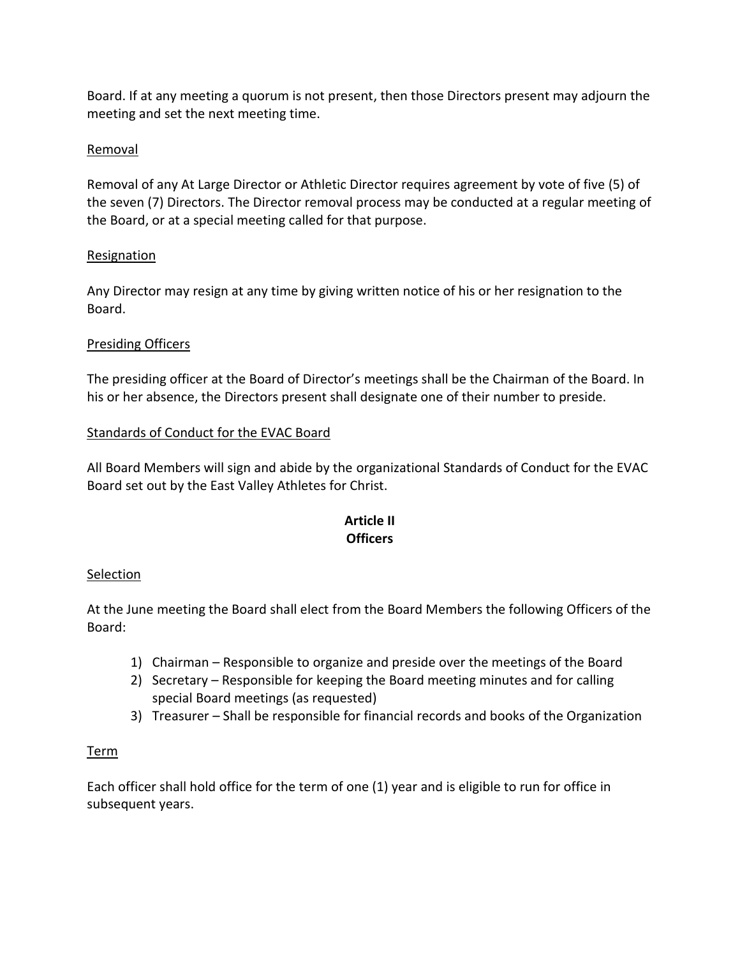Board. If at any meeting a quorum is not present, then those Directors present may adjourn the meeting and set the next meeting time.

### Removal

Removal of any At Large Director or Athletic Director requires agreement by vote of five (5) of the seven (7) Directors. The Director removal process may be conducted at a regular meeting of the Board, or at a special meeting called for that purpose.

## Resignation

Any Director may resign at any time by giving written notice of his or her resignation to the Board.

## Presiding Officers

The presiding officer at the Board of Director's meetings shall be the Chairman of the Board. In his or her absence, the Directors present shall designate one of their number to preside.

## Standards of Conduct for the EVAC Board

All Board Members will sign and abide by the organizational Standards of Conduct for the EVAC Board set out by the East Valley Athletes for Christ.

# **Article II Officers**

### Selection

At the June meeting the Board shall elect from the Board Members the following Officers of the Board:

- 1) Chairman Responsible to organize and preside over the meetings of the Board
- 2) Secretary Responsible for keeping the Board meeting minutes and for calling special Board meetings (as requested)
- 3) Treasurer Shall be responsible for financial records and books of the Organization

### Term

Each officer shall hold office for the term of one (1) year and is eligible to run for office in subsequent years.